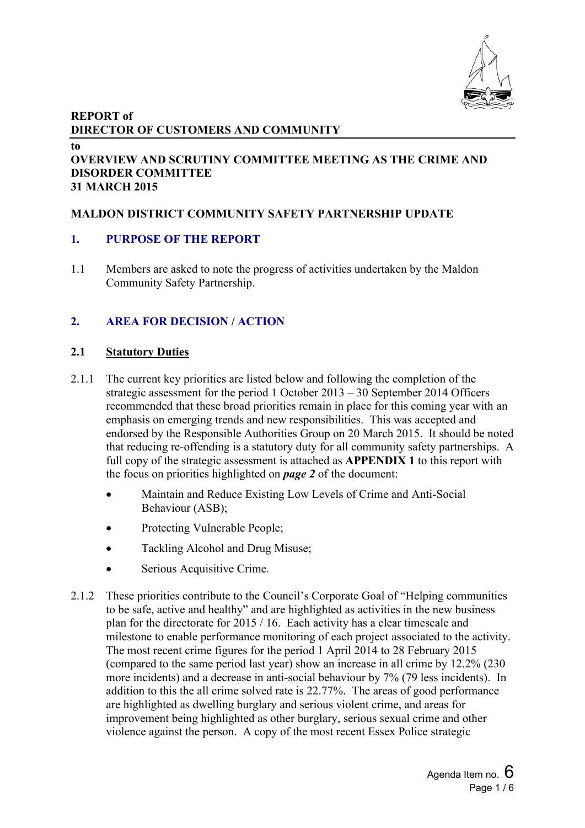

# **REPORT of DIRECTOR OF CUSTOMERS AND COMMUNITY**

**to**

#### **OVERVIEW AND SCRUTINY COMMITTEE MEETING AS THE CRIME AND DISORDER COMMITTEE 31 MARCH 2015**

# **MALDON DISTRICT COMMUNITY SAFETY PARTNERSHIP UPDATE**

# **1. PURPOSE OF THE REPORT**

1.1 Members are asked to note the progress of activities undertaken by the Maldon Community Safety Partnership.

# **2. AREA FOR DECISION / ACTION**

## **2.1 Statutory Duties**

- 2.1.1 The current key priorities are listed below and following the completion of the strategic assessment for the period 1 October 2013 – 30 September 2014 Officers recommended that these broad priorities remain in place for this coming year with an emphasis on emerging trends and new responsibilities. This was accepted and endorsed by the Responsible Authorities Group on 20 March 2015. It should be noted that reducing re-offending is a statutory duty for all community safety partnerships. A full copy of the strategic assessment is attached as **APPENDIX 1** to this report with the focus on priorities highlighted on *page 2* of the document:
	- Maintain and Reduce Existing Low Levels of Crime and Anti-Social Behaviour (ASB);
	- Protecting Vulnerable People;
	- Tackling Alcohol and Drug Misuse;
	- Serious Acquisitive Crime.
- 2.1.2 These priorities contribute to the Council's Corporate Goal of "Helping communities to be safe, active and healthy" and are highlighted as activities in the new business plan for the directorate for 2015 / 16. Each activity has a clear timescale and milestone to enable performance monitoring of each project associated to the activity. The most recent crime figures for the period 1 April 2014 to 28 February 2015 (compared to the same period last year) show an increase in all crime by 12.2% (230 more incidents) and a decrease in anti-social behaviour by 7% (79 less incidents). In addition to this the all crime solved rate is 22.77%. The areas of good performance are highlighted as dwelling burglary and serious violent crime, and areas for improvement being highlighted as other burglary, serious sexual crime and other violence against the person. A copy of the most recent Essex Police strategic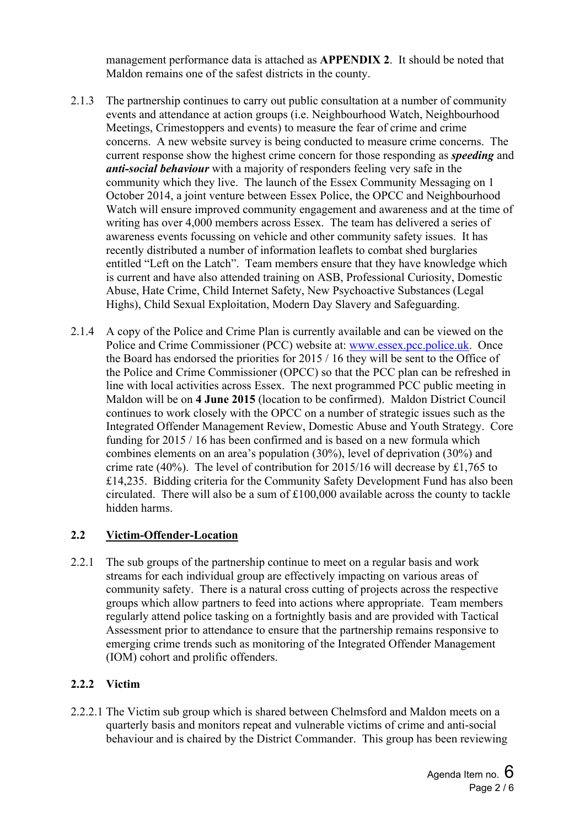management performance data is attached as **APPENDIX 2**. It should be noted that Maldon remains one of the safest districts in the county.

- 2.1.3 The partnership continues to carry out public consultation at a number of community events and attendance at action groups (i.e. Neighbourhood Watch, Neighbourhood Meetings, Crimestoppers and events) to measure the fear of crime and crime concerns. A new website survey is being conducted to measure crime concerns. The current response show the highest crime concern for those responding as *speeding* and *anti-social behaviour* with a majority of responders feeling very safe in the community which they live. The launch of the Essex Community Messaging on 1 October 2014, a joint venture between Essex Police, the OPCC and Neighbourhood Watch will ensure improved community engagement and awareness and at the time of writing has over 4,000 members across Essex. The team has delivered a series of awareness events focussing on vehicle and other community safety issues. It has recently distributed a number of information leaflets to combat shed burglaries entitled "Left on the Latch". Team members ensure that they have knowledge which is current and have also attended training on ASB, Professional Curiosity, Domestic Abuse, Hate Crime, Child Internet Safety, New Psychoactive Substances (Legal Highs), Child Sexual Exploitation, Modern Day Slavery and Safeguarding.
- 2.1.4 A copy of the Police and Crime Plan is currently available and can be viewed on the Police and Crime Commissioner (PCC) website at: [www.essex.pcc.police.uk.](file:///C:/Users/tcctv/AppData/Local/Microsoft/Windows/Temporary%20Internet%20Files/Content.Outlook/AppData/Local/Microsoft/Windows/Temporary%20Internet%20Files/Content.Outlook/AppData/Local/Microsoft/Windows/Temporary%20Internet%20Files/Content.Outlook/0Q2VF7G8/www.essex.pcc.police.uk) Once the Board has endorsed the priorities for 2015 / 16 they will be sent to the Office of the Police and Crime Commissioner (OPCC) so that the PCC plan can be refreshed in line with local activities across Essex. The next programmed PCC public meeting in Maldon will be on **4 June 2015** (location to be confirmed). Maldon District Council continues to work closely with the OPCC on a number of strategic issues such as the Integrated Offender Management Review, Domestic Abuse and Youth Strategy. Core funding for 2015 / 16 has been confirmed and is based on a new formula which combines elements on an area's population (30%), level of deprivation (30%) and crime rate (40%). The level of contribution for 2015/16 will decrease by £1,765 to £14,235. Bidding criteria for the Community Safety Development Fund has also been circulated. There will also be a sum of £100,000 available across the county to tackle hidden harms.

#### **2.2 Victim-Offender-Location**

2.2.1 The sub groups of the partnership continue to meet on a regular basis and work streams for each individual group are effectively impacting on various areas of community safety. There is a natural cross cutting of projects across the respective groups which allow partners to feed into actions where appropriate. Team members regularly attend police tasking on a fortnightly basis and are provided with Tactical Assessment prior to attendance to ensure that the partnership remains responsive to emerging crime trends such as monitoring of the Integrated Offender Management (IOM) cohort and prolific offenders.

#### **2.2.2 Victim**

2.2.2.1 The Victim sub group which is shared between Chelmsford and Maldon meets on a quarterly basis and monitors repeat and vulnerable victims of crime and anti-social behaviour and is chaired by the District Commander. This group has been reviewing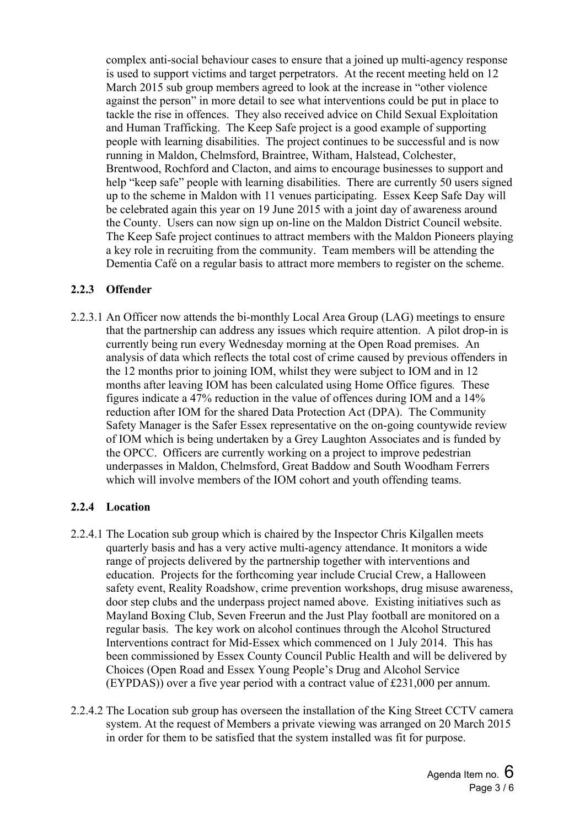complex anti-social behaviour cases to ensure that a joined up multi-agency response is used to support victims and target perpetrators. At the recent meeting held on 12 March 2015 sub group members agreed to look at the increase in "other violence against the person" in more detail to see what interventions could be put in place to tackle the rise in offences. They also received advice on Child Sexual Exploitation and Human Trafficking. The Keep Safe project is a good example of supporting people with learning disabilities. The project continues to be successful and is now running in Maldon, Chelmsford, Braintree, Witham, Halstead, Colchester, Brentwood, Rochford and Clacton, and aims to encourage businesses to support and help "keep safe" people with learning disabilities. There are currently 50 users signed up to the scheme in Maldon with 11 venues participating. Essex Keep Safe Day will be celebrated again this year on 19 June 2015 with a joint day of awareness around the County. Users can now sign up on-line on the Maldon District Council website. The Keep Safe project continues to attract members with the Maldon Pioneers playing a key role in recruiting from the community. Team members will be attending the Dementia Café on a regular basis to attract more members to register on the scheme.

## **2.2.3 Offender**

2.2.3.1 An Officer now attends the bi-monthly Local Area Group (LAG) meetings to ensure that the partnership can address any issues which require attention. A pilot drop-in is currently being run every Wednesday morning at the Open Road premises. An analysis of data which reflects the total cost of crime caused by previous offenders in the 12 months prior to joining IOM, whilst they were subject to IOM and in 12 months after leaving IOM has been calculated using Home Office figures*.* These figures indicate a 47% reduction in the value of offences during IOM and a 14% reduction after IOM for the shared Data Protection Act (DPA). The Community Safety Manager is the Safer Essex representative on the on-going countywide review of IOM which is being undertaken by a Grey Laughton Associates and is funded by the OPCC. Officers are currently working on a project to improve pedestrian underpasses in Maldon, Chelmsford, Great Baddow and South Woodham Ferrers which will involve members of the IOM cohort and youth offending teams.

# **2.2.4 Location**

- 2.2.4.1 The Location sub group which is chaired by the Inspector Chris Kilgallen meets quarterly basis and has a very active multi-agency attendance. It monitors a wide range of projects delivered by the partnership together with interventions and education. Projects for the forthcoming year include Crucial Crew, a Halloween safety event, Reality Roadshow, crime prevention workshops, drug misuse awareness, door step clubs and the underpass project named above. Existing initiatives such as Mayland Boxing Club, Seven Freerun and the Just Play football are monitored on a regular basis. The key work on alcohol continues through the Alcohol Structured Interventions contract for Mid-Essex which commenced on 1 July 2014. This has been commissioned by Essex County Council Public Health and will be delivered by Choices (Open Road and Essex Young People's Drug and Alcohol Service (EYPDAS)) over a five year period with a contract value of £231,000 per annum.
- 2.2.4.2 The Location sub group has overseen the installation of the King Street CCTV camera system. At the request of Members a private viewing was arranged on 20 March 2015 in order for them to be satisfied that the system installed was fit for purpose.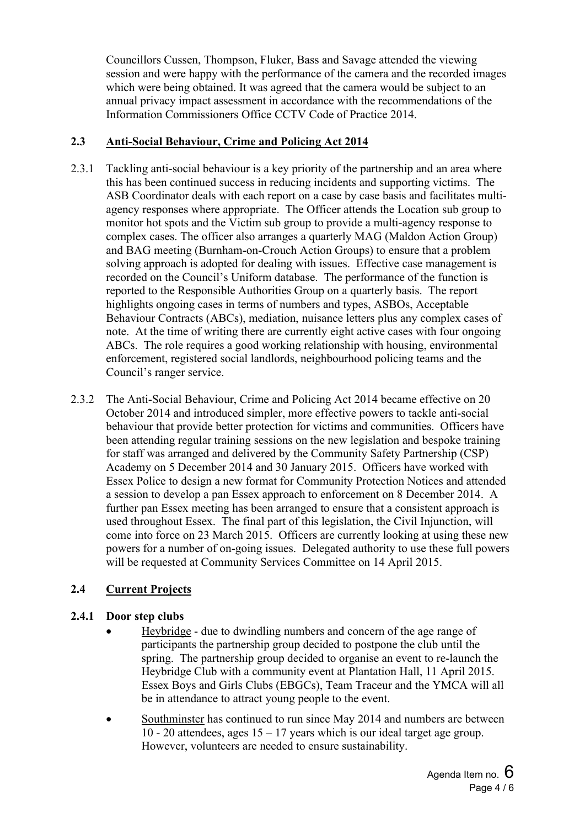Councillors Cussen, Thompson, Fluker, Bass and Savage attended the viewing session and were happy with the performance of the camera and the recorded images which were being obtained. It was agreed that the camera would be subject to an annual privacy impact assessment in accordance with the recommendations of the Information Commissioners Office CCTV Code of Practice 2014.

## **2.3 Anti-Social Behaviour, Crime and Policing Act 2014**

- 2.3.1 Tackling anti-social behaviour is a key priority of the partnership and an area where this has been continued success in reducing incidents and supporting victims. The ASB Coordinator deals with each report on a case by case basis and facilitates multiagency responses where appropriate. The Officer attends the Location sub group to monitor hot spots and the Victim sub group to provide a multi-agency response to complex cases. The officer also arranges a quarterly MAG (Maldon Action Group) and BAG meeting (Burnham-on-Crouch Action Groups) to ensure that a problem solving approach is adopted for dealing with issues. Effective case management is recorded on the Council's Uniform database. The performance of the function is reported to the Responsible Authorities Group on a quarterly basis. The report highlights ongoing cases in terms of numbers and types, ASBOs, Acceptable Behaviour Contracts (ABCs), mediation, nuisance letters plus any complex cases of note. At the time of writing there are currently eight active cases with four ongoing ABCs. The role requires a good working relationship with housing, environmental enforcement, registered social landlords, neighbourhood policing teams and the Council's ranger service.
- 2.3.2 The Anti-Social Behaviour, Crime and Policing Act 2014 became effective on 20 October 2014 and introduced simpler, more effective powers to tackle anti-social behaviour that provide better protection for victims and communities. Officers have been attending regular training sessions on the new legislation and bespoke training for staff was arranged and delivered by the Community Safety Partnership (CSP) Academy on 5 December 2014 and 30 January 2015. Officers have worked with Essex Police to design a new format for Community Protection Notices and attended a session to develop a pan Essex approach to enforcement on 8 December 2014. A further pan Essex meeting has been arranged to ensure that a consistent approach is used throughout Essex. The final part of this legislation, the Civil Injunction, will come into force on 23 March 2015. Officers are currently looking at using these new powers for a number of on-going issues. Delegated authority to use these full powers will be requested at Community Services Committee on 14 April 2015.

# **2.4 Current Projects**

# **2.4.1 Door step clubs**

- Heybridge due to dwindling numbers and concern of the age range of participants the partnership group decided to postpone the club until the spring. The partnership group decided to organise an event to re-launch the Heybridge Club with a community event at Plantation Hall, 11 April 2015. Essex Boys and Girls Clubs (EBGCs), Team Traceur and the YMCA will all be in attendance to attract young people to the event.
- Southminster has continued to run since May 2014 and numbers are between 10 - 20 attendees, ages  $15 - 17$  years which is our ideal target age group. However, volunteers are needed to ensure sustainability.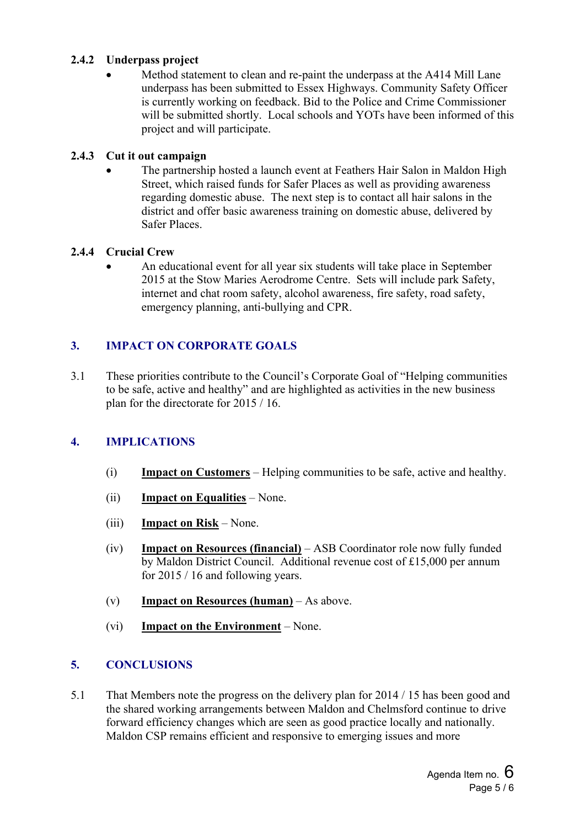## **2.4.2 Underpass project**

 Method statement to clean and re-paint the underpass at the A414 Mill Lane underpass has been submitted to Essex Highways. Community Safety Officer is currently working on feedback. Bid to the Police and Crime Commissioner will be submitted shortly. Local schools and YOTs have been informed of this project and will participate.

#### **2.4.3 Cut it out campaign**

 The partnership hosted a launch event at Feathers Hair Salon in Maldon High Street, which raised funds for Safer Places as well as providing awareness regarding domestic abuse. The next step is to contact all hair salons in the district and offer basic awareness training on domestic abuse, delivered by Safer Places.

## **2.4.4 Crucial Crew**

 An educational event for all year six students will take place in September 2015 at the Stow Maries Aerodrome Centre. Sets will include park Safety, internet and chat room safety, alcohol awareness, fire safety, road safety, emergency planning, anti-bullying and CPR.

# **3. IMPACT ON CORPORATE GOALS**

3.1 These priorities contribute to the Council's Corporate Goal of "Helping communities to be safe, active and healthy" and are highlighted as activities in the new business plan for the directorate for 2015 / 16.

# **4. IMPLICATIONS**

- (i) **Impact on Customers** Helping communities to be safe, active and healthy.
- (ii) **Impact on Equalities** None.
- (iii) **Impact on Risk** None.
- (iv) **Impact on Resources (financial)** ASB Coordinator role now fully funded by Maldon District Council. Additional revenue cost of £15,000 per annum for 2015 / 16 and following years.
- (v) **Impact on Resources (human)** As above.
- (vi) **Impact on the Environment** None.

# **5. CONCLUSIONS**

5.1 That Members note the progress on the delivery plan for 2014 / 15 has been good and the shared working arrangements between Maldon and Chelmsford continue to drive forward efficiency changes which are seen as good practice locally and nationally. Maldon CSP remains efficient and responsive to emerging issues and more